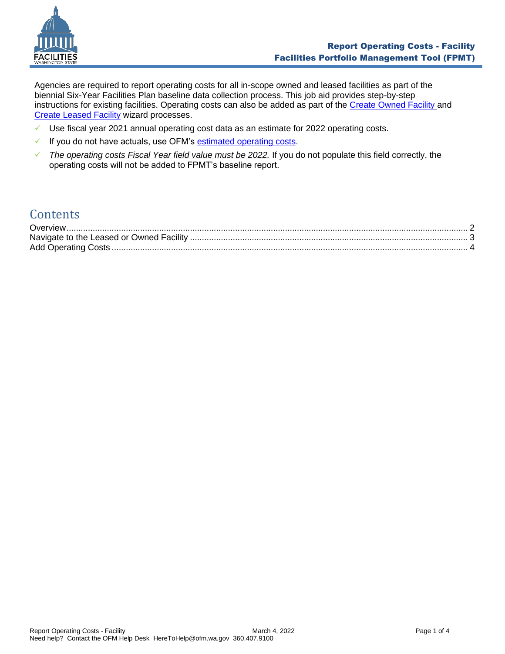

Agencies are required to report operating costs for all in-scope owned and leased facilities as part of the biennial Six-Year Facilities Plan baseline data collection process. This job aid provides step-by-step instructions for existing facilities. Operating costs can also be added as part of the [Create Owned Facility](https://ofm.wa.gov/sites/default/files/public/itsystems/FPMT/Create%20Owned%20Facility.pdf) and Create [Leased Facility](https://ofm.wa.gov/sites/default/files/public/itsystems/FPMT/Create%20Leased%20Facility.pdf) wizard processes.

- $\checkmark$  Use fiscal year 2021 annual operating cost data as an estimate for 2022 operating costs.
- ✓ If you do not have actuals, use OFM's [estimated operating costs.](https://ofm.wa.gov/sites/default/files/public/facilities/SixYearPlan/2023-2029/2022OperatingExpenseAssumptions.xlsx)
- ✓ *The operating costs Fiscal Year field value must be 2022.* If you do not populate this field correctly, the operating costs will not be added to FPMT's baseline report.

# **Contents**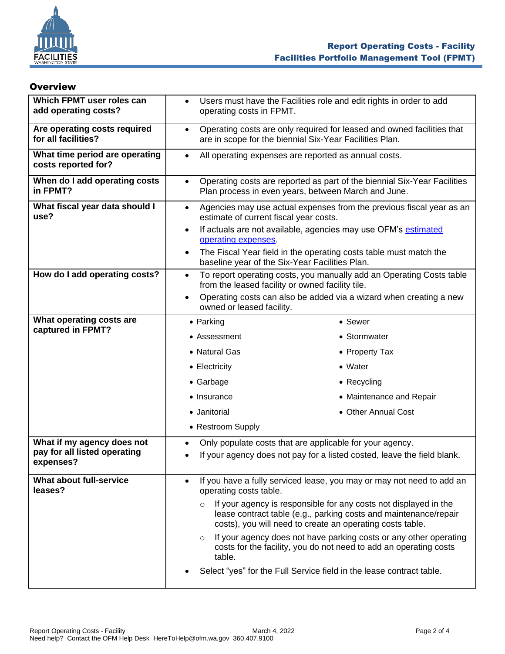

## <span id="page-1-0"></span>**Overview**

| Which FPMT user roles can<br>add operating costs?     | $\bullet$<br>operating costs in FPMT.                                                                                                        | Users must have the Facilities role and edit rights in order to add                                                                                                                               |  |
|-------------------------------------------------------|----------------------------------------------------------------------------------------------------------------------------------------------|---------------------------------------------------------------------------------------------------------------------------------------------------------------------------------------------------|--|
| Are operating costs required<br>for all facilities?   | $\bullet$                                                                                                                                    | Operating costs are only required for leased and owned facilities that<br>are in scope for the biennial Six-Year Facilities Plan.                                                                 |  |
| What time period are operating<br>costs reported for? | $\bullet$                                                                                                                                    | All operating expenses are reported as annual costs.                                                                                                                                              |  |
| When do I add operating costs<br>in FPMT?             | Operating costs are reported as part of the biennial Six-Year Facilities<br>$\bullet$<br>Plan process in even years, between March and June. |                                                                                                                                                                                                   |  |
| What fiscal year data should I<br>use?                | Agencies may use actual expenses from the previous fiscal year as an<br>$\bullet$<br>estimate of current fiscal year costs.                  |                                                                                                                                                                                                   |  |
|                                                       | $\bullet$<br>operating expenses.                                                                                                             | If actuals are not available, agencies may use OFM's estimated                                                                                                                                    |  |
|                                                       | $\bullet$<br>baseline year of the Six-Year Facilities Plan.                                                                                  | The Fiscal Year field in the operating costs table must match the                                                                                                                                 |  |
| How do I add operating costs?                         | To report operating costs, you manually add an Operating Costs table<br>$\bullet$<br>from the leased facility or owned facility tile.        |                                                                                                                                                                                                   |  |
|                                                       | $\bullet$<br>owned or leased facility.                                                                                                       | Operating costs can also be added via a wizard when creating a new                                                                                                                                |  |
| What operating costs are                              | $\bullet$ Parking                                                                                                                            | • Sewer                                                                                                                                                                                           |  |
| captured in FPMT?                                     | • Assessment                                                                                                                                 | • Stormwater                                                                                                                                                                                      |  |
|                                                       | • Natural Gas                                                                                                                                | • Property Tax                                                                                                                                                                                    |  |
|                                                       | • Electricity                                                                                                                                | • Water                                                                                                                                                                                           |  |
|                                                       | • Garbage                                                                                                                                    | • Recycling                                                                                                                                                                                       |  |
|                                                       | • Insurance                                                                                                                                  | • Maintenance and Repair                                                                                                                                                                          |  |
|                                                       | • Janitorial                                                                                                                                 | • Other Annual Cost                                                                                                                                                                               |  |
|                                                       | • Restroom Supply                                                                                                                            |                                                                                                                                                                                                   |  |
| What if my agency does not                            | Only populate costs that are applicable for your agency.<br>$\bullet$                                                                        |                                                                                                                                                                                                   |  |
| pay for all listed operating                          | If your agency does not pay for a listed costed, leave the field blank.<br>$\bullet$                                                         |                                                                                                                                                                                                   |  |
| expenses?                                             |                                                                                                                                              |                                                                                                                                                                                                   |  |
| What about full-service<br>leases?                    | $\bullet$<br>operating costs table.                                                                                                          | If you have a fully serviced lease, you may or may not need to add an                                                                                                                             |  |
|                                                       | $\circ$                                                                                                                                      | If your agency is responsible for any costs not displayed in the<br>lease contract table (e.g., parking costs and maintenance/repair<br>costs), you will need to create an operating costs table. |  |
|                                                       | $\circ$<br>table.                                                                                                                            | If your agency does not have parking costs or any other operating<br>costs for the facility, you do not need to add an operating costs                                                            |  |
|                                                       |                                                                                                                                              | Select "yes" for the Full Service field in the lease contract table.                                                                                                                              |  |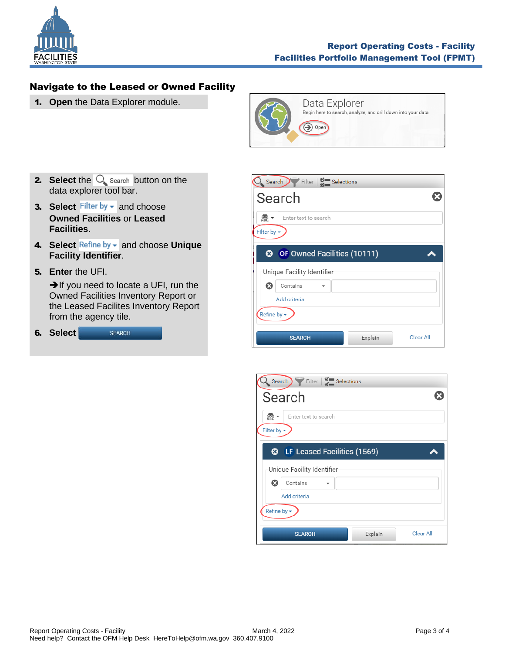

# <span id="page-2-0"></span>Navigate to the Leased or Owned Facility

1. **Open** the Data Explorer module.



- **2.** Select the  $\bigcirc$  search button on the data explorer tool bar.
- **3. Select** Filter by  $\bullet$  and choose **Owned Facilities** or **Leased Facilities**.
- 4. Select Refine by v and choose Unique **Facility Identifier**.
- 5. **Enter** the UFI.

**→**If you need to locate a UFI, run the Owned Facilities Inventory Report or the Leased Facilites Inventory Report from the agency tile.

|  | 6. Select | <b>SFARCH</b> |
|--|-----------|---------------|
|--|-----------|---------------|



| Search Filter   Selections                           |           |
|------------------------------------------------------|-----------|
| Search                                               |           |
| $\frac{1}{\Delta}$ BC $\sim$<br>Enter text to search |           |
| Filter by $\star$                                    |           |
| LF Leased Facilities (1569)<br>ၜ                     |           |
| Unique Facility Identifier                           |           |
| ය<br>Contains                                        |           |
| Add criteria                                         |           |
| Refine by $\star$                                    |           |
| Explain<br><b>SFARCH</b>                             | Clear All |